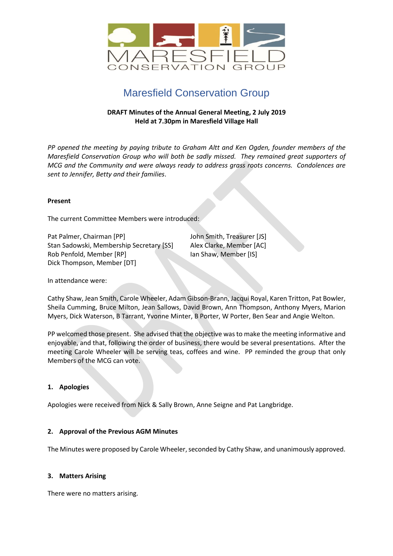

# Maresfield Conservation Group

## **DRAFT Minutes of the Annual General Meeting, 2 July 2019 Held at 7.30pm in Maresfield Village Hall**

*PP opened the meeting by paying tribute to Graham Altt and Ken Ogden, founder members of the Maresfield Conservation Group who will both be sadly missed. They remained great supporters of MCG and the Community and were always ready to address grass roots concerns. Condolences are sent to Jennifer, Betty and their families*.

### **Present**

The current Committee Members were introduced:

Pat Palmer, Chairman [PP] John Smith, Treasurer [JS] Stan Sadowski, Membership Secretary [SS] Alex Clarke, Member [AC] Rob Penfold, Member [RP] Ian Shaw, Member [IS] Dick Thompson, Member [DT]

In attendance were:

Cathy Shaw, Jean Smith, Carole Wheeler, Adam Gibson-Brann, Jacqui Royal, Karen Tritton, Pat Bowler, Sheila Cumming, Bruce Milton, Jean Sallows, David Brown, Ann Thompson, Anthony Myers, Marion Myers, Dick Waterson, B Tarrant, Yvonne Minter, B Porter, W Porter, Ben Sear and Angie Welton.

PP welcomed those present. She advised that the objective wasto make the meeting informative and enjoyable, and that, following the order of business, there would be several presentations. After the meeting Carole Wheeler will be serving teas, coffees and wine. PP reminded the group that only Members of the MCG can vote.

### **1. Apologies**

Apologies were received from Nick & Sally Brown, Anne Seigne and Pat Langbridge.

### **2. Approval of the Previous AGM Minutes**

The Minutes were proposed by Carole Wheeler, seconded by Cathy Shaw, and unanimously approved.

### **3. Matters Arising**

There were no matters arising.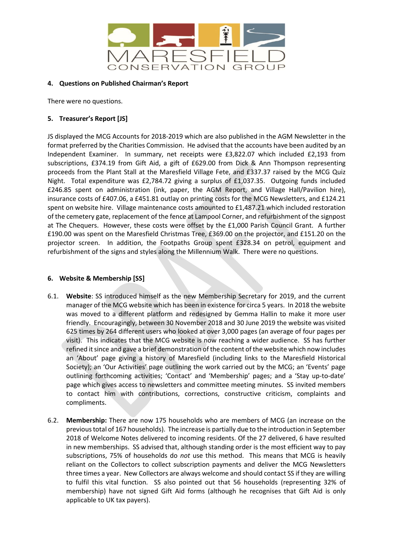

### **4. Questions on Published Chairman's Report**

There were no questions.

# **5. Treasurer's Report [JS]**

JS displayed the MCG Accounts for 2018-2019 which are also published in the AGM Newsletter in the format preferred by the Charities Commission. He advised that the accounts have been audited by an Independent Examiner. In summary, net receipts were £3,822.07 which included £2,193 from subscriptions, £374.19 from Gift Aid, a gift of £629.00 from Dick & Ann Thompson representing proceeds from the Plant Stall at the Maresfield Village Fete, and £337.37 raised by the MCG Quiz Night. Total expenditure was £2,784.72 giving a surplus of £1,037.35. Outgoing funds included £246.85 spent on administration (ink, paper, the AGM Report, and Village Hall/Pavilion hire), insurance costs of £407.06, a £451.81 outlay on printing costs for the MCG Newsletters, and £124.21 spent on website hire. Village maintenance costs amounted to £1,487.21 which included restoration of the cemetery gate, replacement of the fence at Lampool Corner, and refurbishment of the signpost at The Chequers. However, these costs were offset by the £1,000 Parish Council Grant. A further £190.00 was spent on the Maresfield Christmas Tree, £369.00 on the projector, and £151.20 on the projector screen. In addition, the Footpaths Group spent £328.34 on petrol, equipment and refurbishment of the signs and styles along the Millennium Walk. There were no questions.

# **6. Website & Membership [SS]**

- 6.1. **Website**: SS introduced himself as the new Membership Secretary for 2019, and the current manager of the MCG website which has been in existence for circa 5 years. In 2018 the website was moved to a different platform and redesigned by Gemma Hallin to make it more user friendly. Encouragingly, between 30 November 2018 and 30 June 2019 the website was visited 625 times by 264 different users who looked at over 3,000 pages (an average of four pages per visit). This indicates that the MCG website is now reaching a wider audience. SS has further refined it since and gave a brief demonstration of the content of the website which now includes an 'About' page giving a history of Maresfield (including links to the Maresfield Historical Society); an 'Our Activities' page outlining the work carried out by the MCG; an 'Events' page outlining forthcoming activities; 'Contact' and 'Membership' pages; and a 'Stay up-to-date' page which gives access to newsletters and committee meeting minutes. SS invited members to contact him with contributions, corrections, constructive criticism, complaints and compliments.
- 6.2. **Membership:** There are now 175 households who are members of MCG (an increase on the previoustotal of 167 households). The increase is partially due to the introduction in September 2018 of Welcome Notes delivered to incoming residents. Of the 27 delivered, 6 have resulted in new memberships. SS advised that, although standing order is the most efficient way to pay subscriptions, 75% of households do *not* use this method. This means that MCG is heavily reliant on the Collectors to collect subscription payments and deliver the MCG Newsletters three times a year. New Collectors are always welcome and should contact SS if they are willing to fulfil this vital function. SS also pointed out that 56 households (representing 32% of membership) have not signed Gift Aid forms (although he recognises that Gift Aid is only applicable to UK tax payers).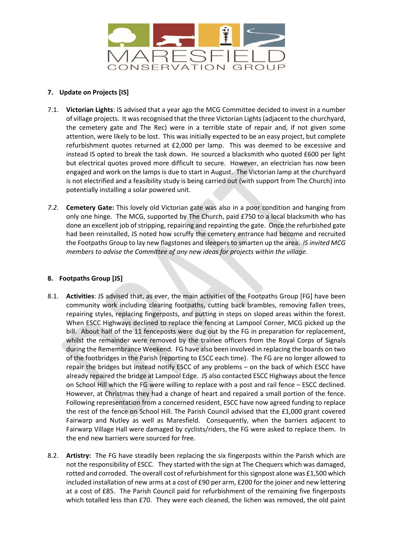

# **7. Update on Projects [IS]**

- 7.1. **Victorian Lights**: IS advised that a year ago the MCG Committee decided to invest in a number of village projects. It wasrecognised that the three Victorian Lights(adjacent to the churchyard, the cemetery gate and The Rec) were in a terrible state of repair and, if not given some attention, were likely to be lost. This was initially expected to be an easy project, but complete refurbishment quotes returned at £2,000 per lamp. This was deemed to be excessive and instead IS opted to break the task down. He sourced a blacksmith who quoted £600 per light but electrical quotes proved more difficult to secure. However, an electrician has now been engaged and work on the lamps is due to start in August. The Victorian lamp at the churchyard is not electrified and a feasibility study is being carried out (with support from The Church) into potentially installing a solar powered unit.
- *7.2.* **Cemetery Gate:** This lovely old Victorian gate was also in a poor condition and hanging from only one hinge. The MCG, supported by The Church, paid £750 to a local blacksmith who has done an excellent job of stripping, repairing and repainting the gate. Once the refurbished gate had been reinstalled, JS noted how scruffy the cemetery entrance had become and recruited the Footpaths Group to lay new flagstones and sleepers to smarten up the area. *IS invited MCG members to advise the Committee of any new ideas for projects within the village.*

# **8. Footpaths Group [JS]**

- 8.1. **Activities**: JS advised that, as ever, the main activities of the Footpaths Group [FG] have been community work including clearing footpaths, cutting back brambles, removing fallen trees, repairing styles, replacing fingerposts, and putting in steps on sloped areas within the forest. When ESCC Highways declined to replace the fencing at Lampool Corner, MCG picked up the bill. About half of the 11 fenceposts were dug out by the FG in preparation for replacement, whilst the remainder were removed by the trainee officers from the Royal Corps of Signals during the Remembrance Weekend. FG have also been involved in replacing the boards on two of the footbridges in the Parish (reporting to ESCC each time). The FG are no longer allowed to repair the bridges but instead notify ESCC of any problems – on the back of which ESCC have already repaired the bridge at Lampool Edge. JS also contacted ESCC Highways about the fence on School Hill which the FG were willing to replace with a post and rail fence – ESCC declined. However, at Christmas they had a change of heart and repaired a small portion of the fence. Following representation from a concerned resident, ESCC have now agreed funding to replace the rest of the fence on School Hill. The Parish Council advised that the £1,000 grant covered Fairwarp and Nutley as well as Maresfield. Consequently, when the barriers adjacent to Fairwarp Village Hall were damaged by cyclists/riders, the FG were asked to replace them. In the end new barriers were sourced for free.
- 8.2. **Artistry:** The FG have steadily been replacing the six fingerposts within the Parish which are not the responsibility of ESCC. They started with the sign at The Chequers which was damaged, rotted and corroded. The overall cost of refurbishment for this signpost alone was £1,500 which included installation of new arms at a cost of £90 per arm, £200 for the joiner and new lettering at a cost of £85. The Parish Council paid for refurbishment of the remaining five fingerposts which totalled less than £70. They were each cleaned, the lichen was removed, the old paint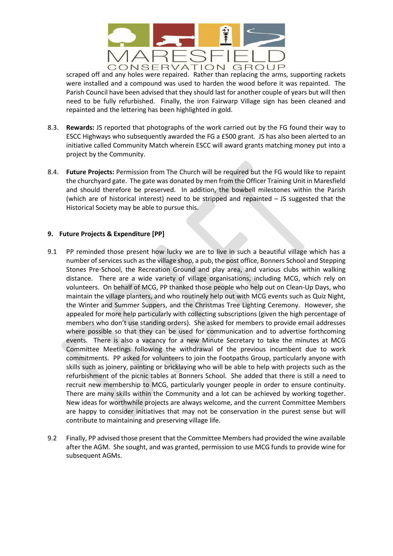

scraped off and any holes were repaired. Rather than replacing the arms, supporting rackets were installed and a compound was used to harden the wood before it was repainted. The Parish Council have been advised that they should last for another couple of years but will then need to be fully refurbished. Finally, the iron Fairwarp Village sign has been cleaned and repainted and the lettering has been highlighted in gold.

- 8.3. **Rewards:** JS reported that photographs of the work carried out by the FG found their way to ESCC Highways who subsequently awarded the FG a £500 grant. JS has also been alerted to an initiative called Community Match wherein ESCC will award grants matching money put into a project by the Community.
- 8.4. **Future Projects:** Permission from The Church will be required but the FG would like to repaint the churchyard gate. The gate was donated by men from the Officer Training Unit in Maresfield and should therefore be preserved. In addition, the bowbell milestones within the Parish (which are of historical interest) need to be stripped and repainted – JS suggested that the Historical Society may be able to pursue this.

## **9. Future Projects & Expenditure [PP]**

- 9.1 PP reminded those present how lucky we are to live in such a beautiful village which has a number of services such as the village shop, a pub, the post office, Bonners School and Stepping Stones Pre-School, the Recreation Ground and play area, and various clubs within walking distance. There are a wide variety of village organisations, including MCG, which rely on volunteers. On behalf of MCG, PP thanked those people who help out on Clean-Up Days, who maintain the village planters, and who routinely help out with MCG events such as Quiz Night, the Winter and Summer Suppers, and the Christmas Tree Lighting Ceremony. However, she appealed for more help particularly with collecting subscriptions (given the high percentage of members who don't use standing orders). She asked for members to provide email addresses where possible so that they can be used for communication and to advertise forthcoming events. There is also a vacancy for a new Minute Secretary to take the minutes at MCG Committee Meetings following the withdrawal of the previous incumbent due to work commitments. PP asked for volunteers to join the Footpaths Group, particularly anyone with skills such as joinery, painting or bricklaying who will be able to help with projects such as the refurbishment of the picnic tables at Bonners School. She added that there is still a need to recruit new membership to MCG, particularly younger people in order to ensure continuity. There are many skills within the Community and a lot can be achieved by working together. New ideas for worthwhile projects are always welcome, and the current Committee Members are happy to consider initiatives that may not be conservation in the purest sense but will contribute to maintaining and preserving village life.
- 9.2 Finally, PP advised those present that the Committee Members had provided the wine available after the AGM. She sought, and was granted, permission to use MCG funds to provide wine for subsequent AGMs.